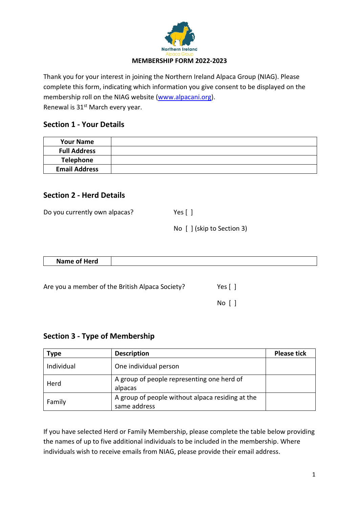

Thank you for your interest in joining the Northern Ireland Alpaca Group (NIAG). Please complete this form, indicating which information you give consent to be displayed on the membership roll on the NIAG website [\(www.alpacani.org\)](http://www.alpacani.org/). Renewal is 31<sup>st</sup> March every year.

## **Section 1 - Your Details**

| <b>Your Name</b>     |  |
|----------------------|--|
| <b>Full Address</b>  |  |
| Telephone            |  |
| <b>Email Address</b> |  |

## **Section 2 - Herd Details**

| Do you currently own alpacas? | Yes $\lceil \ \rceil$      |  |
|-------------------------------|----------------------------|--|
|                               | No [ ] (skip to Section 3) |  |

| Name of Herd |  |
|--------------|--|
|              |  |

No [ ]

| Are you a member of the British Alpaca Society? | Yes [ ] |
|-------------------------------------------------|---------|
|                                                 |         |

## **Section 3 - Type of Membership**

| <b>Type</b> | <b>Description</b>                                               | <b>Please tick</b> |
|-------------|------------------------------------------------------------------|--------------------|
| Individual  | One individual person                                            |                    |
| Herd        | A group of people representing one herd of<br>alpacas            |                    |
| Family      | A group of people without alpaca residing at the<br>same address |                    |

If you have selected Herd or Family Membership, please complete the table below providing the names of up to five additional individuals to be included in the membership. Where individuals wish to receive emails from NIAG, please provide their email address.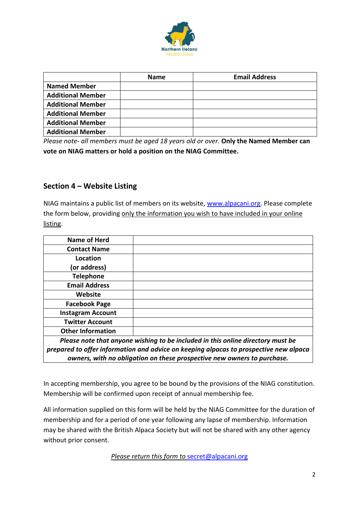

|                          | <b>Name</b> | <b>Email Address</b> |
|--------------------------|-------------|----------------------|
| <b>Named Member</b>      |             |                      |
| <b>Additional Member</b> |             |                      |
| <b>Additional Member</b> |             |                      |
| <b>Additional Member</b> |             |                      |
| <b>Additional Member</b> |             |                      |
| <b>Additional Member</b> |             |                      |

*Please note- all members must be aged 18 years old or over.* **Only the Named Member can vote on NIAG matters or hold a position on the NIAG Committee.**

## **Section 4 – Website Listing**

NIAG maintains a public list of members on its website, [www.alpacani.org.](http://www.alpacani.org/) Please complete the form below, providing only the information you wish to have included in your online listing.

| <b>Name of Herd</b>      |                                                                                       |
|--------------------------|---------------------------------------------------------------------------------------|
| <b>Contact Name</b>      |                                                                                       |
| Location                 |                                                                                       |
| (or address)             |                                                                                       |
| <b>Telephone</b>         |                                                                                       |
| <b>Email Address</b>     |                                                                                       |
| Website                  |                                                                                       |
| <b>Facebook Page</b>     |                                                                                       |
| <b>Instagram Account</b> |                                                                                       |
| <b>Twitter Account</b>   |                                                                                       |
| <b>Other Information</b> |                                                                                       |
|                          | Please note that anyone wishing to be included in this online directory must be       |
|                          | prepared to offer information and advice on keeping alpacas to prospective new alpaca |
|                          | owners, with no obligation on these prospective new owners to purchase.               |

In accepting membership, you agree to be bound by the provisions of the NIAG constitution. Membership will be confirmed upon receipt of annual membership fee.

All information supplied on this form will be held by the NIAG Committee for the duration of membership and for a period of one year following any lapse of membership. Information may be shared with the British Alpaca Society but will not be shared with any other agency without prior consent.

*Please return this form to* [secret@alpacani.org](mailto:secret@alpacani.org)